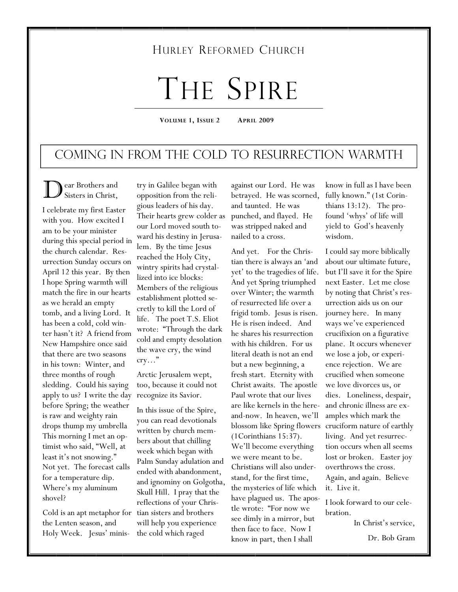# HURLEY REFORMED CHURCH

# THE SPIRE

**VOLUME 1, ISSUE 2 APRIL 2009** 

# Coming in from the Cold to Resurrection Warmth

ear Brothers and Sisters in Christ,

I celebrate my first Easter with you. How excited I am to be your minister during this special period in the church calendar. Resurrection Sunday occurs on April 12 this year. By then I hope Spring warmth will match the fire in our hearts as we herald an empty tomb, and a living Lord. It has been a cold, cold winter hasn't it? A friend from New Hampshire once said that there are two seasons in his town: Winter, and three months of rough sledding. Could his saying apply to us? I write the day before Spring; the weather is raw and weighty rain drops thump my umbrella This morning I met an optimist who said, "Well, at least it's not snowing." Not yet. The forecast calls for a temperature dip. Where's my aluminum shovel?

Cold is an apt metaphor for tian sisters and brothers the Lenten season, and Holy Week. Jesus' minis-

try in Galilee began with opposition from the religious leaders of his day. Their hearts grew colder as our Lord moved south toward his destiny in Jerusalem. By the time Jesus reached the Holy City, wintry spirits had crystallized into ice blocks: Members of the religious establishment plotted secretly to kill the Lord of life. The poet T.S. Eliot wrote: "Through the dark cold and empty desolation the wave cry, the wind cry…"

Arctic Jerusalem wept, too, because it could not recognize its Savior.

In this issue of the Spire, you can read devotionals written by church members about that chilling week which began with Palm Sunday adulation and ended with abandonment, and ignominy on Golgotha, Skull Hill. I pray that the reflections of your Chriswill help you experience the cold which raged

against our Lord. He was betrayed. He was scorned, and taunted. He was punched, and flayed. He was stripped naked and nailed to a cross.

And yet. For the Christian there is always an 'and yet' to the tragedies of life. And yet Spring triumphed over Winter; the warmth of resurrected life over a frigid tomb. Jesus is risen. He is risen indeed. And he shares his resurrection with his children. For us literal death is not an end but a new beginning, a fresh start. Eternity with Christ awaits. The apostle Paul wrote that our lives are like kernels in the hereand-now. In heaven, we'll blossom like Spring flowers (1Corinthians 15:37). We'll become everything we were meant to be. Christians will also understand, for the first time, the mysteries of life which have plagued us. The apostle wrote: "For now we see dimly in a mirror, but then face to face. Now I know in part, then I shall

know in full as I have been fully known." (1st Corinthians 13:12). The profound 'whys' of life will yield to God's heavenly wisdom.

I could say more biblically about our ultimate future, but I'll save it for the Spire next Easter. Let me close by noting that Christ's resurrection aids us on our journey here. In many ways we've experienced crucifixion on a figurative plane. It occurs whenever we lose a job, or experience rejection. We are crucified when someone we love divorces us, or dies. Loneliness, despair, and chronic illness are examples which mark the cruciform nature of earthly living. And yet resurrection occurs when all seems lost or broken. Easter joy overthrows the cross. Again, and again. Believe it. Live it.

I look forward to our celebration.

In Christ's service,

Dr. Bob Gram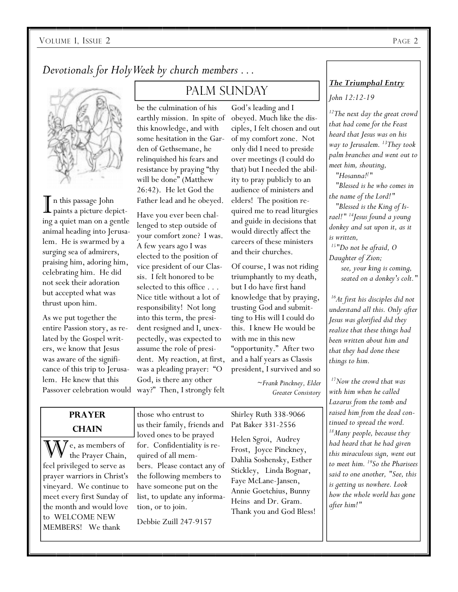*Devotionals for Holy Week by church members . . .* 



I n this passage John paints a picture depicting a quiet man on a gentle animal heading into Jerusalem. He is swarmed by a surging sea of admirers, praising him, adoring him, celebrating him. He did not seek their adoration but accepted what was thrust upon him.

As we put together the entire Passion story, as related by the Gospel writers, we know that Jesus was aware of the significance of this trip to Jerusalem. He knew that this

# PALM SUNDAY

be the culmination of his earthly mission. In spite of this knowledge, and with some hesitation in the Garden of Gethsemane, he relinquished his fears and resistance by praying "thy will be done" (Matthew 26:42). He let God the Father lead and he obeyed.

Passover celebration would way?" Then, I strongly felt Have you ever been challenged to step outside of your comfort zone? I was. A few years ago I was elected to the position of vice president of our Classis. I felt honored to be selected to this office . . . Nice title without a lot of responsibility! Not long into this term, the president resigned and I, unexpectedly, was expected to assume the role of president. My reaction, at first, was a pleading prayer: "O God, is there any other

God's leading and I obeyed. Much like the disciples, I felt chosen and out of my comfort zone. Not only did I need to preside over meetings (I could do that) but I needed the ability to pray publicly to an audience of ministers and elders! The position required me to read liturgies and guide in decisions that would directly affect the careers of these ministers and their churches.

Of course, I was not riding triumphantly to my death, but I do have first hand knowledge that by praying, trusting God and submitting to His will I could do this. I knew He would be with me in this new "opportunity." After two and a half years as Classis president, I survived and so

> *~Frank Pinckney, Elder Greater Consistory*

#### **PRAYER CHAIN**

 $\chi$  e, as members of the Prayer Chain, feel privileged to serve as prayer warriors in Christ's vineyard. We continue to meet every first Sunday of the month and would love to WELCOME NEW MEMBERS! We thank

those who entrust to us their family, friends and loved ones to be prayed for. Confidentiality is required of all members. Please contact any of the following members to have someone put on the list, to update any information, or to join.

Debbie Zuill 247-9157

Shirley Ruth 338-9066 Pat Baker 331-2556

Helen Sgroi, Audrey Frost, Joyce Pinckney, Dahlia Soshensky, Esther Stickley, Linda Bognar, Faye McLane-Jansen, Annie Goetchius, Bunny Heins and Dr. Gram. Thank you and God Bless!

#### *The Triumphal Entry*

*John 12:12-19* 

*12The next day the great crowd that had come for the Feast heard that Jesus was on his way to Jerusalem. 13They took palm branches and went out to meet him, shouting,* 

 *"Hosanna![ "* 

 *"Blessed is he who comes in the name of the Lord!" "Blessed is the King of Is-*

*rael!" 14Jesus found a young donkey and sat upon it, as it is written,* 

*15"Do not be afraid, O Daughter of Zion; see, your king is coming, seated on a donkey's colt."* 

*16At first his disciples did not understand all this. Only after Jesus was glorified did they realize that these things had been written about him and that they had done these things to him.* 

*17Now the crowd that was with him when he called Lazarus from the tomb and raised him from the dead continued to spread the word. 18Many people, because they had heard that he had given this miraculous sign, went out to meet him. 19So the Pharisees said to one another, "See, this is getting us nowhere. Look how the whole world has gone after him!"*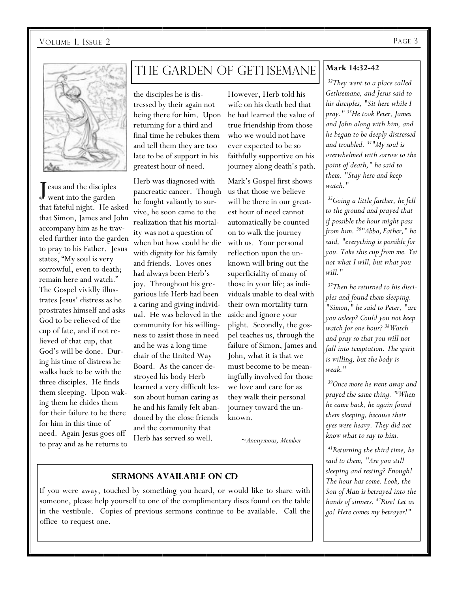

J esus and the disciples went into the garden that fateful night. He asked that Simon, James and John accompany him as he traveled further into the garden to pray to his Father. Jesus states, "My soul is very sorrowful, even to death; remain here and watch." The Gospel vividly illustrates Jesus' distress as he prostrates himself and asks God to be relieved of the cup of fate, and if not relieved of that cup, that God's will be done. During his time of distress he walks back to be with the three disciples. He finds them sleeping. Upon waking them he chides them for their failure to be there for him in this time of need. Again Jesus goes off to pray and as he returns to

# THE GARDEN OF GETHSEMANE Mark 14:32-42

the disciples he is distressed by their again not being there for him. Upon returning for a third and final time he rebukes them and tell them they are too late to be of support in his greatest hour of need.

Herb was diagnosed with pancreatic cancer. Though he fought valiantly to survive, he soon came to the realization that his mortality was not a question of when but how could he die with dignity for his family and friends. Loves ones had always been Herb's joy. Throughout his gregarious life Herb had been a caring and giving individual. He was beloved in the community for his willingness to assist those in need and he was a long time chair of the United Way Board. As the cancer destroyed his body Herb learned a very difficult lesson about human caring as he and his family felt abandoned by the close friends and the community that Herb has served so well.

However, Herb told his wife on his death bed that he had learned the value of true friendship from those who we would not have ever expected to be so faithfully supportive on his journey along death's path.

Mark's Gospel first shows us that those we believe will be there in our greatest hour of need cannot automatically be counted on to walk the journey with us. Your personal reflection upon the unknown will bring out the superficiality of many of those in your life; as individuals unable to deal with their own mortality turn aside and ignore your plight. Secondly, the gospel teaches us, through the failure of Simon, James and John, what it is that we must become to be meaningfully involved for those we love and care for as they walk their personal journey toward the unknown.

*~Anonymous, Member* 

#### **Sermons Available on cd**

If you were away, touched by something you heard, or would like to share with someone, please help yourself to one of the complimentary discs found on the table in the vestibule. Copies of previous sermons continue to be available. Call the office to request one.

*32They went to a place called Gethsemane, and Jesus said to his disciples, "Sit here while I pray." 33He took Peter, James and John along with him, and he began to be deeply distressed and troubled. 34"My soul is overwhelmed with sorrow to the point of death," he said to them. "Stay here and keep watch."* 

*35Going a little farther, he fell to the ground and prayed that if possible the hour might pass from him. 36"Abba, Father," he said, "everything is possible for you. Take this cup from me. Yet not what I will, but what you will."* 

*37Then he returned to his disciples and found them sleeping. "Simon," he said to Peter, "are you asleep? Could you not keep watch for one hour? 38Watch and pray so that you will not fall into temptation. The spirit is willing, but the body is weak."* 

*39Once more he went away and prayed the same thing. 40When he came back, he again found them sleeping, because their eyes were heavy. They did not know what to say to him.* 

*41Returning the third time, he said to them, "Are you still sleeping and resting? Enough! The hour has come. Look, the Son of Man is betrayed into the hands of sinners. 42Rise! Let us go! Here comes my betrayer!"*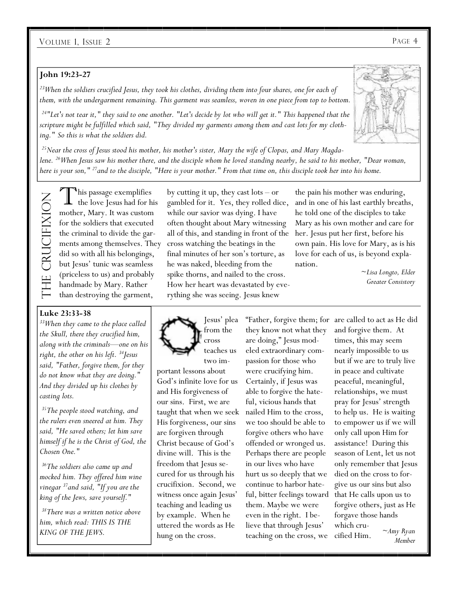#### **John 19:23-27**

*23When the soldiers crucified Jesus, they took his clothes, dividing them into four shares, one for each of them, with the undergarment remaining. This garment was seamless, woven in one piece from top to bottom.* 

*24"Let's not tear it," they said to one another. "Let's decide by lot who will get it." This happened that the scripture might be fulfilled which said, "They divided my garments among them and cast lots for my clothing." So this is what the soldiers did.* 

*25Near the cross of Jesus stood his mother, his mother's sister, Mary the wife of Clopas, and Mary Magdalene. 26When Jesus saw his mother there, and the disciple whom he loved standing nearby, he said to his mother, "Dear woman, here is your son," 27and to the disciple, "Here is your mother." From that time on, this disciple took her into his home.* 

The Crucifixion THE CRUCIFIXION

*N*his passage exemplifies the love Jesus had for his mother, Mary. It was custom for the soldiers that executed the criminal to divide the gardid so with all his belongings, but Jesus' tunic was seamless (priceless to us) and probably handmade by Mary. Rather than destroying the garment,

#### **Luke 23:33-38**

*33When they came to the place called the Skull, there they crucified him, along with the criminals—one on his right, the other on his left. 34Jesus said, "Father, forgive them, for they do not know what they are doing." And they divided up his clothes by casting lots.* 

*35The people stood watching, and the rulers even sneered at him. They said, "He saved others; let him save himself if he is the Christ of God, the Chosen One."* 

*36The soldiers also came up and mocked him. They offered him wine vinegar 37and said, "If you are the king of the Jews, save yourself."* 

*38There was a written notice above him, which read: THIS IS THE KING OF THE JEWS.* 

ments among themselves. They cross watching the beatings in the by cutting it up, they cast lots – or gambled for it. Yes, they rolled dice, while our savior was dying. I have often thought about Mary witnessing all of this, and standing in front of the final minutes of her son's torture, as he was naked, bleeding from the spike thorns, and nailed to the cross. How her heart was devastated by everything she was seeing. Jesus knew

the pain his mother was enduring, and in one of his last earthly breaths, he told one of the disciples to take Mary as his own mother and care for her. Jesus put her first, before his own pain. His love for Mary, as is his love for each of us, is beyond explanation.

> ~*Lisa Longto, Elder Greater Consistory*

Jesus' plea from the cross teaches us two im-

portant lessons about God's infinite love for us and His forgiveness of our sins. First, we are taught that when we seek His forgiveness, our sins are forgiven through Christ because of God's divine will. This is the freedom that Jesus secured for us through his crucifixion. Second, we witness once again Jesus' teaching and leading us by example. When he uttered the words as He hung on the cross.

"Father, forgive them; for are called to act as He did they know not what they are doing," Jesus modeled extraordinary compassion for those who were crucifying him. Certainly, if Jesus was able to forgive the hateful, vicious hands that nailed Him to the cross, we too should be able to forgive others who have offended or wronged us. Perhaps there are people in our lives who have hurt us so deeply that we continue to harbor hateful, bitter feelings toward them. Maybe we were even in the right. I believe that through Jesus' teaching on the cross, we

and forgive them. At times, this may seem nearly impossible to us but if we are to truly live in peace and cultivate peaceful, meaningful, relationships, we must pray for Jesus' strength to help us. He is waiting to empower us if we will only call upon Him for assistance! During this season of Lent, let us not only remember that Jesus died on the cross to forgive us our sins but also that He calls upon us to forgive others, just as He forgave those hands which crucified Him. *~Amy Ryan Member* 



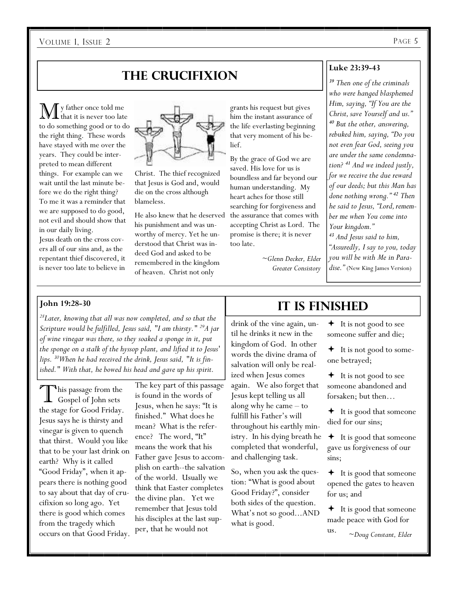# **The crucifixion**

 $\displaystyle\mathop{\bf M}\nolimits$  y father once told me to do something good or to do the right thing. These words have stayed with me over the years. They could be interpreted to mean different things. For example can we wait until the last minute before we do the right thing? To me it was a reminder that we are supposed to do good, not evil and should show that in our daily living.

Jesus death on the cross covers all of our sins and, as the repentant thief discovered, it is never too late to believe in



Christ. The thief recognized that Jesus is God and, would die on the cross although blameless.

He also knew that he deserved his punishment and was unworthy of mercy. Yet he understood that Christ was indeed God and asked to be remembered in the kingdom of heaven. Christ not only

grants his request but gives him the instant assurance of the life everlasting beginning that very moment of his belief.

By the grace of God we are saved. His love for us is boundless and far beyond our human understanding. My heart aches for those still searching for forgiveness and the assurance that comes with accepting Christ as Lord. The promise is there; it is never too late.

> *~Glenn Decker, Elder Greater Consistory*

#### **Luke 23:39-43**

*<sup>39</sup> Then one of the criminals who were hanged blasphemed Him, saying, "If You are the Christ, save Yourself and us." <sup>40</sup> But the other, answering, rebuked him, saying, "Do you not even fear God, seeing you are under the same condemnation? <sup>41</sup> And we indeed justly, for we receive the due reward of our deeds; but this Man has done nothing wrong." <sup>42</sup> Then he said to Jesus, "Lord,remember me when You come into Your kingdom." <sup>43</sup> And Jesus said to him,* 

*"Assuredly, I say to you, today you will be with Me in Paradise."* (New King James Version)

#### **John 19:28-30**

*28Later, knowing that all was now completed, and so that the Scripture would be fulfilled, Jesus said, "I am thirsty." 29A jar of wine vinegar was there, so they soaked a sponge in it, put the sponge on a stalk of the hyssop plant, and lifted it to Jesus' lips. 30When he had received the drink, Jesus said, "It is finished." With that, he bowed his head and gave up his spirit.* 

This passage from the Gospel of John sets the stage for Good Friday. Jesus says he is thirsty and vinegar is given to quench that thirst. Would you like that to be your last drink on earth? Why is it called "Good Friday", when it appears there is nothing good to say about that day of crucifixion so long ago. Yet there is good which comes from the tragedy which occurs on that Good Friday.

The key part of this passage is found in the words of Jesus, when he says: "It is finished." What does he mean? What is the reference? The word, "It" means the work that his Father gave Jesus to accomplish on earth--the salvation of the world. Usually we think that Easter completes the divine plan. Yet we remember that Jesus told his disciples at the last supper, that he would not

# **It is finished**

drink of the vine again, until he drinks it new in the kingdom of God. In other words the divine drama of salvation will only be realized when Jesus comes again. We also forget that Jesus kept telling us all along why he came – to fulfill his Father's will throughout his earthly ministry. In his dying breath he completed that wonderful, and challenging task.

So, when you ask the question: "What is good about Good Friday?", consider both sides of the question. What's not so good...AND what is good.

 $\div$  It is not good to see someone suffer and die;

 $\div$  It is not good to someone betrayed;

 $\div$  It is not good to see someone abandoned and forsaken; but then…

 $\div$  It is good that someone died for our sins;

 It is good that someone gave us forgiveness of our sins;

 $\div$  It is good that someone opened the gates to heaven for us; and

**←** It is good that someone made peace with God for

*~Doug Constant, Elder* 

us.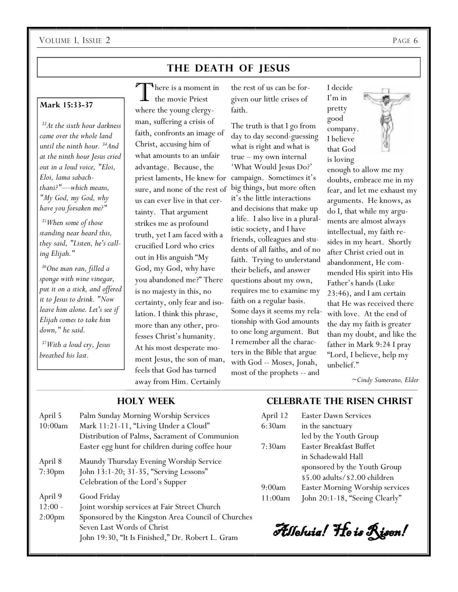## **THE DEATH OF JESUS**

#### **Mark 15:33-37**

*33At the sixth hour darkness came over the whole land until the ninth hour. 34And at the ninth hour Jesus cried out in a loud voice, "Eloi, Eloi, lama sabachthani?"—which means, "My God, my God, why have you forsaken me?"* 

*35When some of those standing near heard this, they said, "Listen, he's calling Elijah."* 

*36One man ran, filled a sponge with wine vinegar, put it on a stick, and offered it to Jesus to drink. "Now leave him alone. Let's see if Elijah comes to take him down," he said.* 

*37With a loud cry, Jesus breathed his last.* 

here is a moment in the movie Priest where the young clergyman, suffering a crisis of faith, confronts an image of Christ, accusing him of what amounts to an unfair advantage. Because, the priest laments, He knew for sure, and none of the rest of us can ever live in that certainty. That argument strikes me as profound truth, yet I am faced with a crucified Lord who cries out in His anguish "My God, my God, why have you abandoned me?" There is no majesty in this, no certainty, only fear and isolation. I think this phrase, more than any other, professes Christ's humanity. At his most desperate moment Jesus, the son of man, feels that God has turned away from Him. Certainly

the rest of us can be forgiven our little crises of faith.

The truth is that I go from day to day second-guessing what is right and what is true – my own internal 'What Would Jesus Do?' campaign. Sometimes it's big things, but more often it's the little interactions and decisions that make up a life. I also live in a pluralistic society, and I have friends, colleagues and students of all faiths, and of no faith. Trying to understand their beliefs, and answer questions about my own, requires me to examine my faith on a regular basis. Some days it seems my relationship with God amounts to one long argument. But I remember all the characters in the Bible that argue with God -- Moses, Jonah, most of the prophets -- and

I decide I'm in pretty good company. I believe that God is loving

enough to allow me my doubts, embrace me in my fear, and let me exhaust my arguments. He knows, as do I, that while my arguments are almost always intellectual, my faith resides in my heart. Shortly after Christ cried out in abandonment, He commended His spirit into His Father's hands (Luke 23:46), and I am certain that He was received there with love. At the end of the day my faith is greater than my doubt, and like the father in Mark 9:24 I pray "Lord, I believe, help my unbelief."

*~Cindy Sumerano, Elder* 

| April 5<br>10:00am            | Palm Sunday Morning Worship Services<br>Mark 11:21-11, "Living Under a Cloud"                                                        | April 12<br>6:30am | Easter Daw<br>in the sanct                                |
|-------------------------------|--------------------------------------------------------------------------------------------------------------------------------------|--------------------|-----------------------------------------------------------|
|                               | Distribution of Palms, Sacrament of Communion<br>Easter egg hunt for children during coffee hour                                     | 7:30am             | led by the Y<br>Easter Breal                              |
| April 8<br>7:30 <sub>pm</sub> | Maundy Thursday Evening Worship Service<br>John 13:1-20; 31-35, "Serving Lessons"<br>Celebration of the Lord's Supper                | 9:00am             | in Schadewa<br>sponsored b<br>\$5.00 adult<br>Easter Mori |
| April 9                       | Good Friday                                                                                                                          | 11:00am            | John $20:1-1$                                             |
| $12:00 -$                     | Joint worship services at Fair Street Church                                                                                         |                    |                                                           |
| 2:00 <sub>pm</sub>            | Sponsored by the Kingston Area Council of Churches<br>Seven Last Words of Christ<br>John 19:30, "It Is Finished," Dr. Robert L. Gram |                    | Alleluia! }                                               |

#### **Holy week**

#### **CELEBRATE THE RISEN CHRIST**

| April 12 | <b>Easter Dawn Services</b>     |
|----------|---------------------------------|
| 6:30am   | in the sanctuary                |
|          | led by the Youth Group          |
| 7:30am   | Easter Breakfast Buffet         |
|          | in Schadewald Hall              |
|          | sponsored by the Youth Group    |
|          | \$5.00 adults/\$2.00 children   |
| 9:00am   | Easter Morning Worship services |
| 11:00am  | John 20:1-18, "Seeing Clearly"  |
|          |                                 |

Alleluia! He is Risen!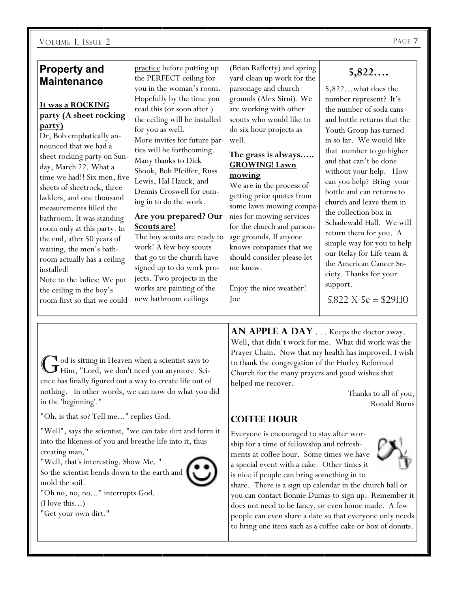#### VOLUME 1, ISSUE 2

### **Property and Maintenance**

#### **It was a ROCKING party (A sheet rocking party)**

Dr, Bob emphatically announced that we had a sheet rocking party on Sunday, March 22. What a time we had!! Six men, five sheets of sheetrock, three ladders, and one thousand measurements filled the bathroom. It was standing room only at this party. In the end, after 50 years of waiting, the men's bathroom actually has a ceiling installed!

Note to the ladies: We put the ceiling in the boy's room first so that we could practice before putting up the PERFECT ceiling for you in the woman's room. Hopefully by the time you read this (or soon after ) the ceiling will be installed for you as well. More invites for future parties will be forthcoming. Many thanks to Dick Shook, Bob Pfeiffer, Russ Lewis, Hal Hauck, and Dennis Croswell for coming in to do the work.

#### **Are you prepared? Our Scouts are!**

The boy scouts are ready to work! A few boy scouts that go to the church have signed up to do work projects. Two projects in the works are painting of the new bathroom ceilings

(Brian Rafferty) and spring yard clean up work for the parsonage and church grounds (Alex Sirni). We are working with other scouts who would like to do six hour projects as well.

#### **The grass is always….. GROWING! Lawn mowing**

We are in the process of getting price quotes from some lawn mowing companies for mowing services for the church and parsonage grounds. If anyone knows companies that we should consider please let me know.

Enjoy the nice weather! Joe

# **5,822….**

5,822…what does the number represent? It's the number of soda cans and bottle returns that the Youth Group has turned in so far. We would like that number to go higher and that can't be done without your help. How can you help? Bring your bottle and can returns to church and leave them in the collection box in Schadewald Hall. We will return them for you. A simple way for you to help our Relay for Life team & the American Cancer Society. Thanks for your support.

5,822 X  $5¢ = $291.10$ 

G od is sitting in Heaven when a scientist says to Him, "Lord, we don't need you anymore. Science has finally figured out a way to create life out of nothing. In other words, we can now do what you did in the 'beginning'."

"Oh, is that so? Tell me..." replies God.

"Well", says the scientist, "we can take dirt and form it into the likeness of you and breathe life into it, thus creating man."

"Well, that's interesting. Show Me. "

So the scientist bends down to the earth and  $\parallel$ mold the soil.



"Oh no, no, no..." interrupts God. (I love this...)

"Get your own dirt."

**AN APPLE A DAY** . . . Keeps the doctor away. Well, that didn't work for me. What did work was the Prayer Chain. Now that my health has improved, I wish to thank the congregation of the Hurley Reformed Church for the many prayers and good wishes that helped me recover.

> Thanks to all of you, Ronald Burns

## **Coffee Hour**

Everyone is encouraged to stay after worship for a time of fellowship and refreshments at coffee hour. Some times we have a special event with a cake. Other times it is nice if people can bring something in to

share. There is a sign up calendar in the church hall or you can contact Bonnie Dumas to sign up. Remember it does not need to be fancy, or even home made. A few people can even share a date so that everyone only needs to bring one item such as a coffee cake or box of donuts.

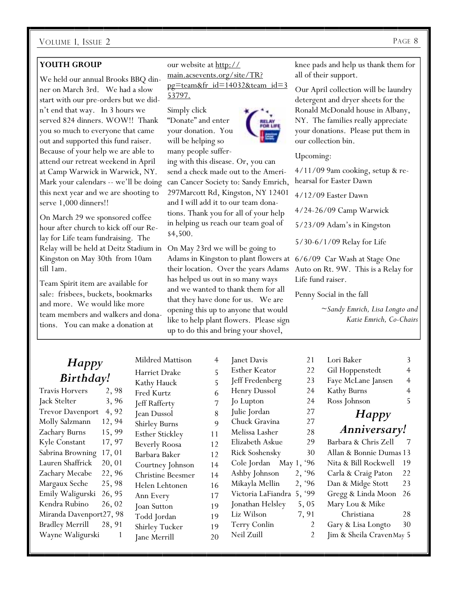#### **YOUTH GROUP**

We held our annual Brooks BBQ dinner on March 3rd. We had a slow start with our pre-orders but we didn't end that way. In 3 hours we served 824 dinners. WOW!! Thank you so much to everyone that came out and supported this fund raiser. Because of your help we are able to attend our retreat weekend in April at Camp Warwick in Warwick, NY. Mark your calendars -- we'll be doing this next year and we are shooting to serve 1,000 dinners!!

On March 29 we sponsored coffee hour after church to kick off our Relay for Life team fundraising. The Relay will be held at Deitz Stadium in Kingston on May 30th from 10am till 1am.

Team Spirit item are available for sale: frisbees, buckets, bookmarks and more. We would like more team members and walkers and donations. You can make a donation at

our website at http:// main.acsevents.org/site/TR? pg=team&fr\_id=14032&team\_id=3 53797.

Simply click "Donate" and enter your donation. You will be helping so many people suffer-

ing with this disease. Or, you can send a check made out to the American Cancer Society to: Sandy Emrich, 297Marcott Rd, Kingston, NY 12401 and I will add it to our team donations. Thank you for all of your help in helping us reach our team goal of \$4,500.

On May 23rd we will be going to Adams in Kingston to plant flowers at 6/6/09 Car Wash at Stage One their location. Over the years Adams has helped us out in so many ways and we wanted to thank them for all that they have done for us. We are opening this up to anyone that would like to help plant flowers. Please sign up to do this and bring your shovel,

knee pads and help us thank them for all of their support.

Our April collection will be laundry detergent and dryer sheets for the Ronald McDonald house in Albany, NY. The families really appreciate your donations. Please put them in our collection bin.

Upcoming:

4/11/09 9am cooking, setup & rehearsal for Easter Dawn

4/12/09 Easter Dawn

4/24-26/09 Camp Warwick

5/23/09 Adam's in Kingston

5/30-6/1/09 Relay for Life

Auto on Rt. 9W. This is a Relay for Life fund raiser.

Penny Social in the fall

*~Sandy Emrich, Lisa Longto and Katie Emrich, Co-Chairs* 

#### *Happy Birthday!* Travis Horvers 2, 98 Jack Stelter 3, 96 Trevor Davenport 4, 92 Molly Salzmann 12, 94 Zachary Burns 15, 99 Kyle Constant 17, 97 Sabrina Browning 17, 01 Lauren Shaffrick 20, 01 Zachary Mecabe 22, 96 Margaux Seche 25, 98 Emily Waligurski 26, 95 Kendra Rubino 26, 02 Miranda Davenport27, 98 Bradley Merrill 28, 91 Wayne Waligurski 1 Mildred Mattison 4 Harriet Drake 5 Kathy Hauck 5 Fred Kurtz 6 Jeff Rafferty 7 Jean Dussol 8 Shirley Burns Esther Stickley 11 Beverly Roosa 12 Barbara Baker 12 Courtney Johnson 14 Christine Beesmer 14 Helen Lehtonen 16 Ann Every 17 Joan Sutton 19 Todd Jordan 19 Shirley Tucker 19 Janet Davis 21 Esther Keator 22 Jeff Fredenberg 23 Henry Dussol 24 Jo Lupton 24 Julie Jordan 27 Chuck Gravina 27 Melissa Lasher 28 Elizabeth Askue 29 Rick Soshensky 30 Cole Jordan May 1, '96 Ashby Johnson 2, '96 Mikayla Mellin 2, '96 Victoria LaFiandra 5, '99 Jonathan Helsley 5, 05 Liz Wilson 7, 91 Terry Conlin 2 Neil Zuill 2 Lori Baker 3 Gil Hoppenstedt 4 Faye McLane Jansen 4 Kathy Burns 4 Ross Johnson 5 *Happy Anniversary!* Barbara & Chris Zell 7 Allan & Bonnie Dumas 13 Nita & Bill Rockwell 19 Carla & Craig Paton 22 Dan & Midge Stott 23 Gregg & Linda Moon 26 Mary Lou & Mike Christiana 28 Gary & Lisa Longto 30 Jim & Sheila Craven May 5

Jane Merrill 20

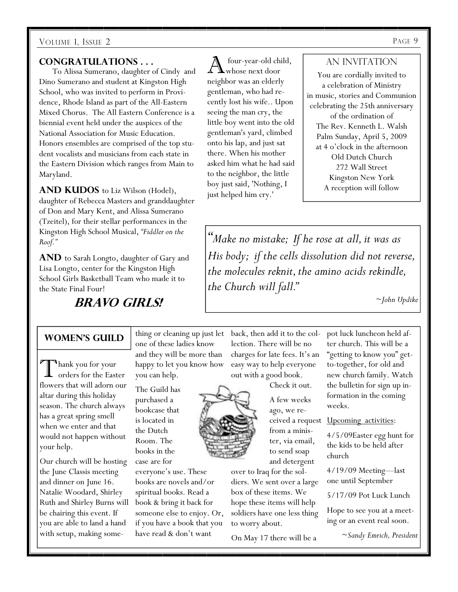#### **Congratulations . . .**

 To Alissa Sumerano, daughter of Cindy and Dino Sumerano and student at Kingston High School, who was invited to perform in Providence, Rhode Island as part of the All-Eastern Mixed Chorus. The All Eastern Conference is a biennial event held under the auspices of the National Association for Music Education. Honors ensembles are comprised of the top student vocalists and musicians from each state in the Eastern Division which ranges from Main to Maryland.

# AND KUDOS to Liz Wilson (Hodel),

daughter of Rebecca Masters and granddaughter of Don and Mary Kent, and Alissa Sumerano (Tzeitel), for their stellar performances in the Kingston High School Musical, *"Fiddler on the Roof."* 

**And** to Sarah Longto, daughter of Gary and Lisa Longto, center for the Kingston High School Girls Basketball Team who made it to the State Final Four!

**Bravo Girls!** 

four-year-old child, whose next door neighbor was an elderly gentleman, who had recently lost his wife.. Upon seeing the man cry, the little boy went into the old gentleman's yard, climbed onto his lap, and just sat there. When his mother asked him what he had said to the neighbor, the little boy just said, 'Nothing, I just helped him cry.'

#### AN INVITATION

You are cordially invited to a celebration of Ministry in music, stories and Communion celebrating the 25th anniversary of the ordination of The Rev. Kenneth L. Walsh Palm Sunday, April 5, 2009 at 4 o'clock in the afternoon Old Dutch Church 272 Wall Street Kingston New York A reception will follow

*"Make no mistake; If he rose at all, it was as His body; if the cells dissolution did not reverse, the molecules reknit, the amino acids rekindle, the Church will fall."* 

*~John Updike* 

#### **Women's Guild**

T hank you for your orders for the Easter flowers that will adorn our altar during this holiday season. The church always has a great spring smell when we enter and that would not happen without your help.

Our church will be hosting the June Classis meeting and dinner on June 16. Natalie Woodard, Shirley Ruth and Shirley Burns will be chairing this event. If you are able to land a hand with setup, making something or cleaning up just let one of these ladies know and they will be more than happy to let you know how you can help.

The Guild has purchased a bookcase that is located in the Dutch Room. The books in the case are for

everyone's use. These books are novels and/or spiritual books. Read a book & bring it back for someone else to enjoy. Or, if you have a book that you have read & don't want

back, then add it to the collection. There will be no charges for late fees. It's an easy way to help everyone out with a good book.

Check it out.

A few weeks ago, we refrom a minister, via email, to send soap and detergent

over to Iraq for the soldiers. We sent over a large box of these items. We hope these items will help soldiers have one less thing to worry about.

On May 17 there will be a

pot luck luncheon held after church. This will be a "getting to know you" getto-together, for old and new church family. Watch the bulletin for sign up information in the coming weeks.

ceived a request Upcoming activities:

4/5/09Easter egg hunt for the kids to be held after church

4/19/09 Meeting—last one until September

5/17/09 Pot Luck Lunch

Hope to see you at a meeting or an event real soon.

*~Sandy Emrich, President*